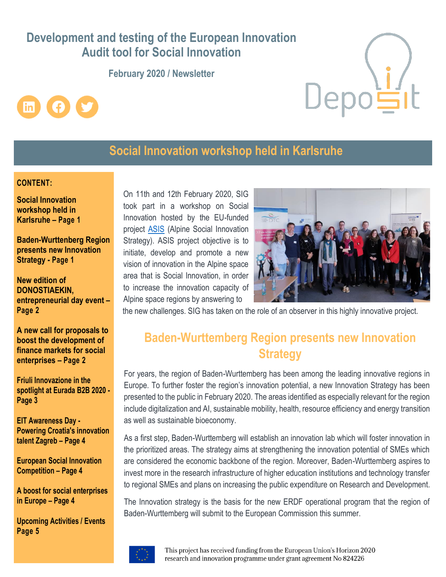# **Development and testing of the European Innovation Audit tool for Social Innovation**

**February 2020 / Newsletter** 





# **Social Innovation workshop held in Karlsruhe**

## **CONTENT:**

**Social Innovation workshop held in Karlsruhe – Page 1**

**Baden-Wurttenberg Region presents new Innovation Strategy - Page 1**

**New edition of DONOSTIAEKIN, entrepreneurial day event – Page 2**

**A new call for proposals to boost the development of finance markets for social enterprises – Page 2**

**Friuli Innovazione in the spotlight at Eurada B2B 2020 - Page 3** 

**EIT Awareness Day - Powering Croatia's innovation talent Zagreb – Page 4**

**European Social Innovation Competition – Page 4**

**A boost for social enterprises in Europe – Page 4**

**Upcoming Activities / Events Page 5**

On 11th and 12th February 2020, SIG took part in a workshop on Social Innovation hosted by the EU-funded project [ASIS](https://socialinnovationstrategy.eu/) (Alpine Social Innovation Strategy). ASIS project objective is to initiate, develop and promote a new vision of innovation in the Alpine space area that is Social Innovation, in order to increase the innovation capacity of Alpine space regions by answering to



the new challenges. SIG has taken on the role of an observer in this highly innovative project.

# **Baden-Wurttemberg Region presents new Innovation Strategy**

For years, the region of Baden-Wurttemberg has been among the leading innovative regions in Europe. To further foster the region's innovation potential, a new Innovation Strategy has been presented to the public in February 2020. The areas identified as especially relevant for the region include digitalization and AI, sustainable mobility, health, resource efficiency and energy transition as well as sustainable bioeconomy.

As a first step, Baden-Wurttemberg will establish an innovation lab which will foster innovation in the prioritized areas. The strategy aims at strengthening the innovation potential of SMEs which are considered the economic backbone of the region. Moreover, Baden-Wurttemberg aspires to invest more in the research infrastructure of higher education institutions and technology transfer to regional SMEs and plans on increasing the public expenditure on Research and Development.

The Innovation strategy is the basis for the new ERDF operational program that the region of Baden-Wurttemberg will submit to the European Commission this summer.

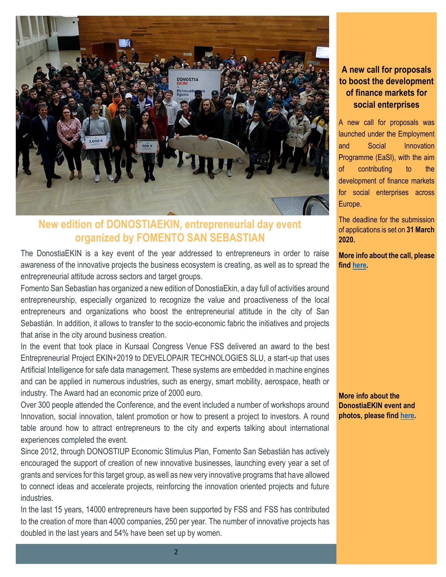

## **New edition of DONOSTIAEKIN, entrepreneurial day event organized by FOMENTO SAN SEBASTIAN**

The DonostiaEKIN is a key event of the year addressed to entrepreneurs in order to raise awareness of the innovative projects the business ecosystem is creating, as well as to spread the entrepreneurial attitude across sectors and target groups.

Fomento San Sebastian has organized a new edition of DonostiaEkin, a day full of activities around entrepreneurship, especially organized to recognize the value and proactiveness of the local entrepreneurs and organizations who boost the entrepreneurial attitude in the city of San Sebastián. In addition, it allows to transfer to the socio-economic fabric the initiatives and projects that arise in the city around business creation.

In the event that took place in Kursaal Congress Venue FSS delivered an award to the best Entrepreneurial Project EKIN+2019 to DEVELOPAIR TECHNOLOGIES SLU, a start-up that uses Artificial Intelligence for safe data management. These systems are embedded in machine engines and can be applied in numerous industries, such as energy, smart mobility, aerospace, heath or industry. The Award had an economic prize of 2000 euro.

Over 300 people attended the Conference, and the event included a number of workshops around Innovation, social innovation, talent promotion or how to present a project to investors. A round table around how to attract entrepreneurs to the city and experts talking about international experiences completed the event.

Since 2012, through DONOSTIUP Economic Stimulus Plan, Fomento San Sebastián has actively encouraged the support of creation of new innovative businesses, launching every year a set of grants and services for this target group, as well as new very innovative programs that have allowed to connect ideas and accelerate projects, reinforcing the innovation oriented projects and future industries.

In the last 15 years, 14000 entrepreneurs have been supported by FSS and FSS has contributed to the creation of more than 4000 companies, 250 per year. The number of innovative projects has doubled in the last years and 54% have been set up by women.

## **A new call for proposals to boost the development of finance markets for social enterprises**

A new call for proposals was launched under the Employment and Social Innovation Programme (EaSI), with the aim of contributing to the development of finance markets for social enterprises across Europe.

The deadline for the submission of applications is set on **31 March 2020.**

**More info about the call, please find [here.](https://ec.europa.eu/social/main.jsp?langId=en&catId=1081&furtherNews=yes&newsId=9510)**

**More info about the DonostiaEKIN event and photos, please fin[d here.](http://www.fomentosansebastian.eus/es/actualidad/noticias/2534-nueva-edicion-de-donostiaekin-el-dia-de-la-persona-emprendedora-de-san-sebastian)**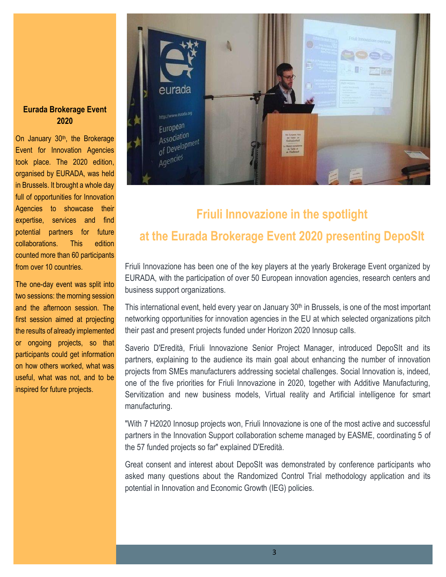### **Eurada Brokerage Event 2020**

On January 30<sup>th</sup>, the Brokerage Event for Innovation Agencies took place. The 2020 edition, organised by EURADA, was held organised by EURADA, was in Brussels. It brought a whole day full of opportunities for Innovation Agencies to showcase their expertise, services and find potential partners for future experiment parameters and find find find the find of counted more than 60 participants from over 10 countries. edition counted more than

The one-day event was split into two sessions: the morning session first session aimed at projecting the results of already implemented or ongoing projects, so that participants could get information on how others worked, what was useful, what was not, and to be implemented or ongoing inspired for future projects. projects, so that participants and the afternoon session. The



# **Friuli Innovazione in the spotlight at the Eurada Brokerage Event 2020 presenting DepoSIt**

Friuli Innovazione has been one of the key players at the yearly Brokerage Event organized by EURADA, with the participation of over 50 European innovation agencies, research centers and business support organizations.

This international event, held every year on January  $30<sup>th</sup>$  in Brussels, is one of the most important networking opportunities for innovation agencies in the EU at which selected organizations pitch their past and present projects funded under Horizon 2020 Innosup calls.

Saverio D'Eredità, Friuli Innovazione Senior Project Manager, introduced DepoSIt and its partners, explaining to the audience its main goal about enhancing the number of innovation projects from SMEs manufacturers addressing societal challenges. Social Innovation is, indeed, one of the five priorities for Friuli Innovazione in 2020, together with Additive Manufacturing, Servitization and new business models, Virtual reality and Artificial intelligence for smart manufacturing.

"With 7 H2020 Innosup projects won, Friuli Innovazione is one of the most active and successful partners in the Innovation Support collaboration scheme managed by EASME, coordinating 5 of the 57 funded projects so far" explained D'Eredità.

Great consent and interest about DepoSIt was demonstrated by conference participants who asked many questions about the Randomized Control Trial methodology application and its potential in Innovation and Economic Growth (IEG) policies.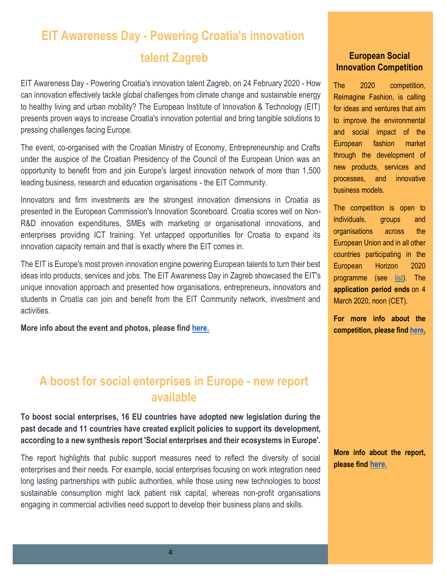# **EIT Awareness Day - Powering Croatia's innovation**

EIT Awareness Day - Powering Croatia's innovation talent Zagreb, on 24 February 2020 - How can innovation effectively tackle global challenges from climate change and sustainable energy to healthy living and urban mobility? The European Institute of Innovation & Technology (EIT) presents proven ways to increase Croatia's innovation potential and bring tangible solutions to pressing challenges facing Europe.

The event, co-organised with the Croatian Ministry of Economy, Entrepreneurship and Crafts under the auspice of the Croatian Presidency of the Council of the European Union was an opportunity to benefit from and join Europe's largest innovation network of more than 1,500 leading business, research and education organisations - the EIT Community.

Innovators and firm investments are the strongest innovation dimensions in Croatia as presented in the European Commission's Innovation Scoreboard. Croatia scores well on Non-R&D innovation expenditures, SMEs with marketing or organisational innovations, and enterprises providing ICT training. Yet untapped opportunities for Croatia to expand its innovation capacity remain and that is exactly where the EIT comes in.

The EIT is Europe's most proven innovation engine powering European talents to turn their best ideas into products, services and jobs. The EIT Awareness Day in Zagreb showcased the EIT's unique innovation approach and presented how organisations, entrepreneurs, innovators and students in Croatia can join and benefit from the EIT Community network, investment and activities.

**More info about the event and photos, please fin[d here.](https://eit.europa.eu/news-events/news/eit-awareness-day-powering-croatias-innovation-talent)**

# **A boost for social enterprises in Europe - new report available**

**To boost social enterprises, 16 EU countries have adopted new legislation during the past decade and 11 countries have created explicit policies to support its development, according to a new synthesis report 'Social enterprises and their ecosystems in Europe'.**

The [report](https://ec.europa.eu/social/main.jsp?catId=738&langId=en&pubId=8274) highlights that public support measures need to reflect the diversity of social enterprises and their needs. For example, social enterprises focusing on work integration need long lasting partnerships with public authorities, while those using new technologies to boost sustainable consumption might lack patient risk capital, whereas non-profit organisations engaging in commercial activities need support to develop their business plans and skills.

## **talent Zagreb European Social** *European* **Social Innovation Competition**

The 2020 competition, Reimagine Fashion, is calling for ideas and ventures that aim to improve the environmental and social impact of the European fashion market through the development of new products, services and processes, and innovative business models.

The competition is open to individuals, groups and organisations across the European Union and in all other countries participating in the European Horizon 2020 programme (see [list\)](https://ec.europa.eu/info/files/countries-associated-horizon-2020-framework-programme_en). The **application period ends** on 4 March 2020, noon (CET).

**For more info about the competition, please find [here.](https://ec.europa.eu/growth/industry/innovation/policy/social/competition_en)**

**More info about the report, please find [here.](https://ec.europa.eu/social/main.jsp?langId=en&catId=1081&furtherNews=yes&newsId=9534)**